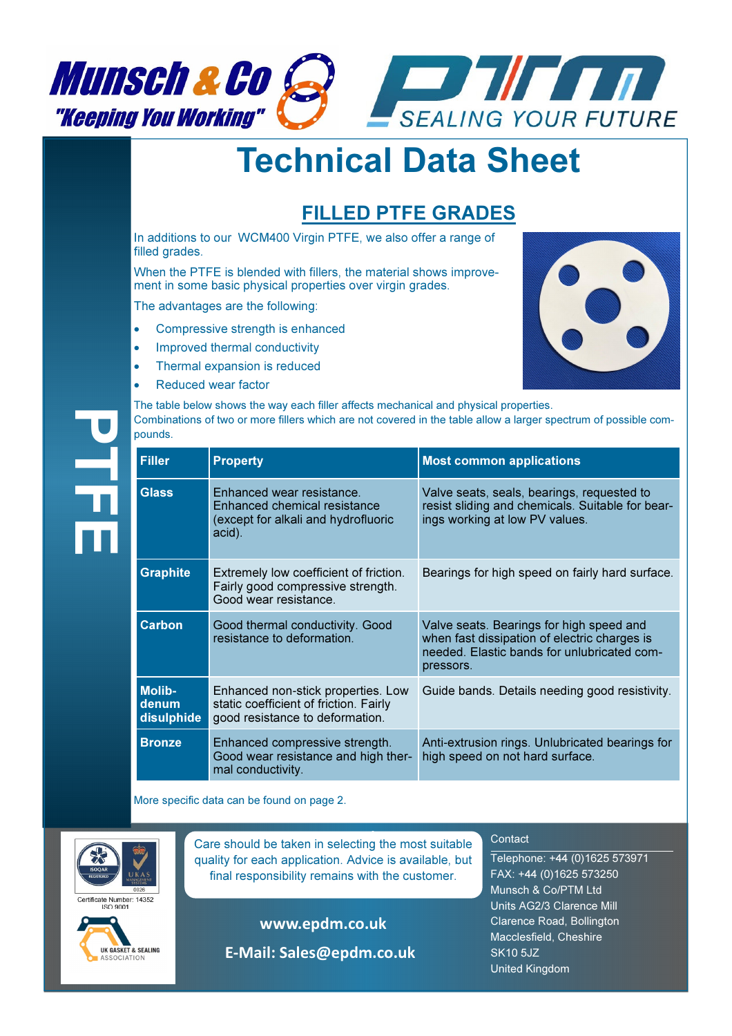

## Technical Data Sheet

## FILLED PTFE GRADES

In additions to our WCM400 Virgin PTFE, we also offer a range of filled grades.

When the PTFE is blended with fillers, the material shows improvement in some basic physical properties over virgin grades.

The advantages are the following:

- Compressive strength is enhanced
- Improved thermal conductivity
- Thermal expansion is reduced
- Reduced wear factor



The table below shows the way each filler affects mechanical and physical properties. Combinations of two or more fillers which are not covered in the table allow a larger spectrum of possible compounds.

| <b>Filler</b>                        | <b>Property</b>                                                                                                 | <b>Most common applications</b>                                                                                                                      |  |  |  |  |
|--------------------------------------|-----------------------------------------------------------------------------------------------------------------|------------------------------------------------------------------------------------------------------------------------------------------------------|--|--|--|--|
| <b>Glass</b>                         | Enhanced wear resistance.<br>Enhanced chemical resistance<br>(except for alkali and hydrofluoric<br>acid).      | Valve seats, seals, bearings, requested to<br>resist sliding and chemicals. Suitable for bear-<br>ings working at low PV values.                     |  |  |  |  |
| <b>Graphite</b>                      | Extremely low coefficient of friction.<br>Fairly good compressive strength.<br>Good wear resistance.            | Bearings for high speed on fairly hard surface.                                                                                                      |  |  |  |  |
| <b>Carbon</b>                        | Good thermal conductivity. Good<br>resistance to deformation.                                                   | Valve seats. Bearings for high speed and<br>when fast dissipation of electric charges is<br>needed. Elastic bands for unlubricated com-<br>pressors. |  |  |  |  |
| <b>Molib-</b><br>denum<br>disulphide | Enhanced non-stick properties. Low<br>static coefficient of friction. Fairly<br>good resistance to deformation. | Guide bands. Details needing good resistivity.                                                                                                       |  |  |  |  |
| <b>Bronze</b>                        | Enhanced compressive strength.<br>Good wear resistance and high ther-<br>mal conductivity.                      | Anti-extrusion rings. Unlubricated bearings for<br>high speed on not hard surface.                                                                   |  |  |  |  |

More specific data can be found on page 2.



 $\frac{1}{2}$ 

rtificate Number: 14352



**Care should be taken in selecting the most suitable** quality for each application. Advice is available, but final responsibility remains with the customer.

www.epdm.co.uk

E-Mail: Sales@epdm.co.uk

## **Contact**

Telephone: +44 (0)1625 573971 FAX: +44 (0)1625 573250 Munsch & Co/PTM Ltd Units AG2/3 Clarence Mill Clarence Road, Bollington Macclesfield, Cheshire SK10 5JZ United Kingdom